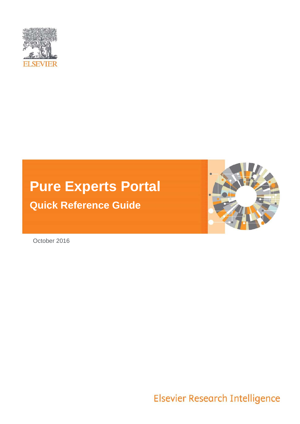

# **Pure Experts Portal**

# **Quick Reference Guide**



October 2016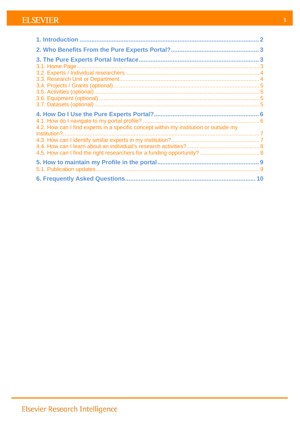| 4.2. How can I find experts in a specific concept within my institution or outside my |  |
|---------------------------------------------------------------------------------------|--|
|                                                                                       |  |
|                                                                                       |  |
|                                                                                       |  |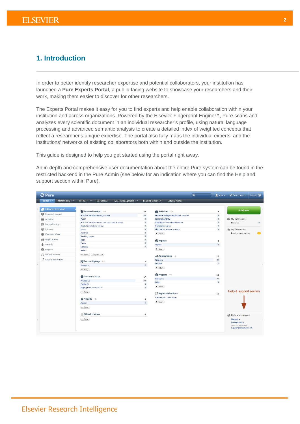# <span id="page-2-0"></span>**1. Introduction**

In order to better identify researcher expertise and potential collaborators, your institution has launched a **Pure Experts Portal**, a public-facing website to showcase your researchers and their work, making them easier to discover for other researchers.

The Experts Portal makes it easy for you to find experts and help enable collaboration within your institution and across organizations. Powered by the Elsevier Fingerprint Engine™, Pure scans and analyzes every scientific document in an individual researcher's profile, using natural language processing and advanced semantic analysis to create a detailed index of weighted concepts that reflect a researcher's unique expertise. The portal also fully maps the individual experts' and the institutions' networks of existing collaborators both within and outside the institution.

This guide is designed to help you get started using the portal right away.

An in-depth and comprehensive user documentation about the entire Pure system can be found in the restricted backend in the Pure Admin (see below for an indication where you can find the Help and support section within Pure).

| <b>Editorial overview</b> |                                                           |                         |                                                            |                                  | Add new                                                                  |
|---------------------------|-----------------------------------------------------------|-------------------------|------------------------------------------------------------|----------------------------------|--------------------------------------------------------------------------|
| <b>No</b> Research output | Research output =                                         | 82                      | $Activities =$                                             | 8                                |                                                                          |
|                           | Article (Contribution to journal)                         | 69<br>$\overline{3}$    | Prize (including medals and awards)                        | $\overline{3}$<br>$\overline{2}$ |                                                                          |
| Activities                | Paper<br>Article (Contribution to specialist publication) | $\overline{1}$          | <b>Editorial activity</b><br>National/international honour | 1                                | My messages                                                              |
| 圞<br>Press clippings      | Book/Film/Article review                                  | $\overline{1}$          | Honorary degree                                            | 1                                | Messages                                                                 |
| tmpacts                   | Poster                                                    | 1                       | <b>Election to learned society</b>                         | 1                                | <b>★</b> My favourites                                                   |
|                           | Abstract                                                  | $\,1$                   | + New                                                      |                                  | Funding opportunities                                                    |
| ⋒<br>Curricula Vitae      | Working paper.                                            | $\overline{1}$          |                                                            |                                  |                                                                          |
| <b>Applications</b>       | <b>Book</b>                                               | $1\,$                   | <b>O</b> Impacts                                           | $\mathbf 1$                      |                                                                          |
| Awards                    | Patent                                                    | 1                       | Impact                                                     | $1$ .                            |                                                                          |
|                           | Editorial                                                 | 1                       |                                                            |                                  |                                                                          |
| Projects                  | More                                                      |                         | + New                                                      |                                  |                                                                          |
| 52 Ethical reviews        | $Import$ $\blacktriangledown$<br>+ New                    |                         | a Applications -=                                          | 18                               |                                                                          |
| ☆ Report definitions      |                                                           |                         | Proposal                                                   | 16                               |                                                                          |
|                           | <b>EXP</b> Press clippings $\equiv$                       | $\overline{\mathbf{2}}$ | Outline                                                    | $\overline{2}$                   |                                                                          |
|                           | Research                                                  | $\overline{2}$          | + New                                                      |                                  |                                                                          |
|                           | + New                                                     |                         |                                                            |                                  |                                                                          |
|                           |                                                           |                         | <b>Projects</b> $r =$                                      | 15                               |                                                                          |
|                           | Curricula Vitae                                           | 17                      | Research                                                   | 14                               |                                                                          |
|                           | <b>Private CV</b>                                         | 14                      | Other                                                      | $1$                              |                                                                          |
|                           | <b>Public CV</b>                                          | $\overline{z}$          | + New                                                      |                                  |                                                                          |
|                           | <b>Highlighted Content CV</b>                             | $\mathbf{1}$            |                                                            |                                  |                                                                          |
|                           | + New                                                     |                         | ☆ Report definitions                                       | 16                               | Help & support section                                                   |
|                           | $\triangle$ Awards $\equiv$                               | 6                       | <b>View Report definitions</b>                             |                                  |                                                                          |
|                           | Award                                                     | $\overline{6}$          | + New                                                      |                                  |                                                                          |
|                           | + New                                                     |                         |                                                            |                                  |                                                                          |
|                           | △ Ethical reviews                                         | $\mathbf{o}$            |                                                            |                                  | Help and support                                                         |
|                           | + New                                                     |                         |                                                            |                                  | Manual »<br>Screencasts »<br>Contact helpdesk:<br>support@devel.atira.dk |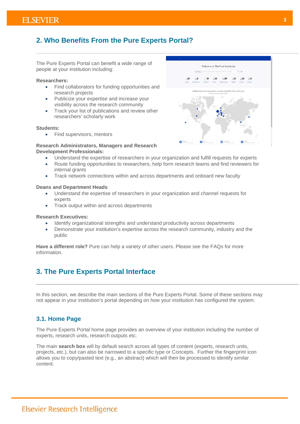# <span id="page-3-0"></span>**2. Who Benefits From the Pure Experts Portal?**

The Pure Experts Portal can benefit a wide range of people at your institution including:

#### **Researchers:**

- Find collaborators for funding opportunities and research projects
- Publicize your expertise and increase your visibility across the research community
- Track your list of publications and review other researchers' scholarly work

#### **Students:**

• Find supervisors, mentors



### **Research Administrators, Managers and Research Development Professionals:**

- Understand the expertise of researchers in your organization and fulfill requests for experts
- Route funding opportunities to researchers, help form research teams and find reviewers for internal grants
- Track network connections within and across departments and onboard new faculty

#### **Deans and Department Heads**

- Understand the expertise of researchers in your organization and channel requests for experts
- Track output within and across departments

#### **Research Executives:**

- Identify organizational strengths and understand productivity across departments
- Demonstrate your institution's expertise across the research community, industry and the public

<span id="page-3-1"></span>**Have a different role?** Pure can help a variety of other users. Please see the FAQs for more information.

# **3. The Pure Experts Portal Interface**

<span id="page-3-2"></span>In this section, we describe the main sections of the Pure Experts Portal. Some of these sections may not appear in your institution's portal depending on how your institution has configured the system.

## **3.1. Home Page**

The Pure Experts Portal home page provides an overview of your institution including the number of experts, research units, research outputs etc.

The main **search box** will by default search across all types of content (experts, research units, projects, etc.), but can also be narrowed to a specific type or Concepts. Further the fingerprint icon allows you to copy/pasted text (e.g., an abstract) which will then be processed to identify similar content.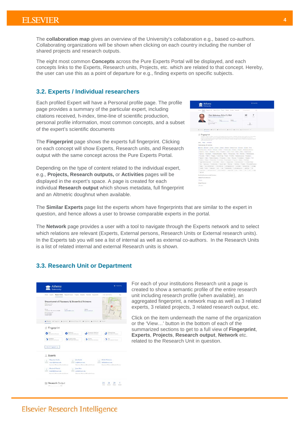The **collaboration map** gives an overview of the University's collaboration e.g., based co-authors. Collaborating organizations will be shown when clicking on each country including the number of shared projects and research outputs.

The eight most common **Concepts** across the Pure Experts Portal will be displayed, and each concepts links to the Experts, Research units, Projects, etc. which are related to that concept. Hereby, the user can use this as a point of departure for e.g., finding experts on specific subjects.

# <span id="page-4-0"></span>**3.2. Experts / Individual researchers**

Each profiled Expert will have a Personal profile page. The profile page provides a summary of the particular expert, including citations received, h-index, time-line of scientific production, personal profile information, most common concepts, and a subset of the expert's scientific documents

The **Fingerprint** page shows the experts full fingerprint. Clicking on each concept will show Experts, Research units, and Research output with the same concept across the Pure Experts Portal.

Depending on the type of content related to the individual expert, e.g., **Projects, Research outputs,** or **Activities** pages will be displayed in the expert's space. A page is created for each individual **Research output** which shows metadata, full fingerprint and an Altmetric doughnut when available.



The **Similar Experts** page list the experts whom have fingerprints that are similar to the expert in question, and hence allows a user to browse comparable experts in the portal.

The **Network** page provides a user with a tool to navigate through the Experts network and to select which relations are relevant (Experts, External persons, Research Units or External research units). In the Experts tab you will see a list of internal as well as external co-authors. In the Research Units is a list of related internal and external Research units is shown.

## <span id="page-4-1"></span>**3.3. Research Unit or Department**

|                                                                                                                                                                         |                                                 | How Costs Resemblish from Color. From Deliver Atlanta Colored                  | Q.<br>Solar search larres.<br>179                               |
|-------------------------------------------------------------------------------------------------------------------------------------------------------------------------|-------------------------------------------------|--------------------------------------------------------------------------------|-----------------------------------------------------------------|
| The Rent Limited in<br>Spoke al Grante                                                                                                                                  | Department of Pharmacy & Biomedical Sciences    |                                                                                |                                                                 |
| Now<br>-HERED CITED AN LICENSED<br>Economican in<br><b>Q133Q Giagne</b><br>United Avrigation                                                                            | 2 mil.<br>AA modulation                         | Walesto<br>offs international                                                  | $\overline{a}$<br>a style bare                                  |
|                                                                                                                                                                         |                                                 | Stewart of Septem & Rosel & Reset Gripolity @ Provide @ Ministractic @ Neverly |                                                                 |
| Fingerprint                                                                                                                                                             |                                                 |                                                                                |                                                                 |
| $\bullet$ $\bullet$ $\bullet$                                                                                                                                           | Torontache.<br>o<br>Manuscript & Sold Elizabeth | <b>Templemic Interdust</b><br><b>Manuel &amp; Lot fo asset</b>                 | OutlowSetting<br>Benatol & Jay Symons                           |
| $\sum_{n=1}^{\infty} \frac{f(n) \, d\mu_n^2}{\mu_n^2 \, d\mu_n^2} \, \frac{f(n) \, d\mu_n^2}{\mu_n^2 \, d\mu_n^2} \, \frac{f(n) \, d\mu_n^2}{\mu_n^2 \, d\mu_n^2} \, .$ | fysglichanke<br>make the link men               | Dingen                                                                         | $M_{\text{BH}}$<br>3<br>Henrick Allies bilances                 |
| View full degreement of                                                                                                                                                 |                                                 |                                                                                |                                                                 |
| Experts                                                                                                                                                                 |                                                 |                                                                                |                                                                 |
| Mary Ann Cooke                                                                                                                                                          | Tim Scalds                                      |                                                                                | Debbi Watersatz                                                 |
| mesential disease is all<br>Department of Reynons, & Formativel External                                                                                                |                                                 | Joseph Harrison Inches<br>Paintenari of Practice, It Sumplex Started           | daily distinguished a<br>Pasaware of Harmon & Konseinal Science |
|                                                                                                                                                                         |                                                 |                                                                                |                                                                 |
| Elizabeth Warbol                                                                                                                                                        | <b>Juan Bain</b>                                |                                                                                |                                                                 |

For each of your institutions Research unit a page is created to show a semantic profile of the entire research unit including research profile (when available), an aggregated fingerprint, a network map as well as 3 related experts, 3 related projects, 3 related research output, etc.

Click on the item underneath the name of the organization or the 'View…' button in the bottom of each of the summarized sections to get to a full view of **Fingerprint**, **Experts**, **Projects**, **Research output**, **Network** etc. related to the Research Unit in question.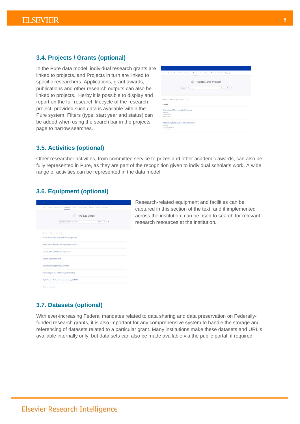# <span id="page-5-0"></span>**3.4. Projects / Grants (optional)**

In the Pure data model, individual research grants are linked to projects, and Projects in turn are linked to specific researchers. Applications, grant awards, publications and other research outputs can also be linked to projects. Herby it is possible to display and report on the full research lifecycle of the research project, provided such data is available within the Pure system. Filters (type, start year and status) can be added when using the search bar in the projects page to narrow searches.

|                                                                                                                                             | 69                                         | Find Research Projects    |
|---------------------------------------------------------------------------------------------------------------------------------------------|--------------------------------------------|---------------------------|
|                                                                                                                                             | Present v Derivers                         | $Y$ Filter $Q$ , $\theta$ |
|                                                                                                                                             |                                            |                           |
|                                                                                                                                             |                                            |                           |
|                                                                                                                                             |                                            |                           |
|                                                                                                                                             |                                            |                           |
| Sheeds 11. Ballot deliverancing with the co-<br><b>Cassled</b><br>Elephants and Mice: A beoglitudinal study<br>Louis, L.E.<br>U374 = 107U14 |                                            |                           |
| <b>Renard Power</b>                                                                                                                         | Elephant Migration in the Melong Peninsula |                           |

## <span id="page-5-1"></span>**3.5. Activities (optional)**

Other researcher activities, from committee service to prizes and other academic awards, can also be fully represented in Pure, as they are part of the recognition given to individual scholar's work. A wide range of activities can be represented in the data model.

# <span id="page-5-2"></span>**3.6. Equipment (optional)**

|                                      | Find Equipment                                    |                              |  |
|--------------------------------------|---------------------------------------------------|------------------------------|--|
|                                      | Departure -   Princetown better                   | $y_{\text{flar}}$ Q $\theta$ |  |
| Limals  The locately will be         | Guava Technologies EssyCyte Plus Flow Cytometer   |                              |  |
|                                      | NAPCO Series 5000 CO2 Water Jacketed Incubator    |                              |  |
|                                      | Assas GenePix 4200A Microactory Sciences          |                              |  |
| Illumani Genome analyzer             |                                                   |                              |  |
| Environmental engineering Laboratory |                                                   |                              |  |
|                                      | Microbiological and epidemiological laborators'   |                              |  |
|                                      | High Pressure Photoelectron Spectroscopy (HiPPES) |                              |  |

Research-related equipment and facilities can be captured in this section of the text, and if implemented across the institution, can be used to search for relevant research resources at the institution.

## <span id="page-5-3"></span>**3.7. Datasets (optional)**

With ever-increasing Federal mandates related to data sharing and data preservation on Federallyfunded research grants, it is also important for any comprehensive system to handle the storage and referencing of datasets related to a particular grant. Many institutions make these datasets and URL's available internally only, but data sets can also be made available via the public portal, if required.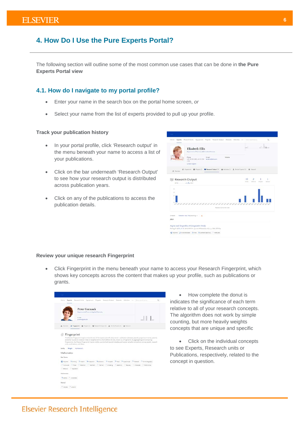# <span id="page-6-0"></span>**4. How Do I Use the Pure Experts Portal?**

The following section will outline some of the most common use cases that can be done in **the Pure Experts Portal view**

## <span id="page-6-1"></span>**4.1. How do I navigate to my portal profile?**

- Enter your name in the search box on the portal home screen, *or*
- Select your name from the list of experts provided to pull up your profile.

#### **Track your publication history**

- In your portal profile, click 'Research output' in the menu beneath your name to access a list of your publications.
- Click on the bar underneath 'Research Output' to see how your research output is distributed across publication years.
- Click on any of the publications to access the publication details.

|                  | Experts Research Units<br>Equipment Projects Research Output Datasets Activities<br><b>Elizabeth Ellis</b><br>Ospetment of Pharmacy & E-printical Sciences | Q<br>Enter search berns.<br><b>Cold</b><br>100,000<br><b>LIEW</b> |
|------------------|------------------------------------------------------------------------------------------------------------------------------------------------------------|-------------------------------------------------------------------|
|                  | Website<br>Philips<br>E-mail<br>1700<br><b>United Kegdom</b>                                                                                               |                                                                   |
| 1 Overview       | S Research Output [34] Articlies [2] L. Similar Experts [33] @ Tietwork<br>@ Fingerprint @ Projects (2)                                                    |                                                                   |
|                  | Research Output<br>percent and a change of the second                                                                                                      | $-10$<br>2<br>Article<br>bilional<br>Checher<br>Abstract          |
| $\alpha$<br>×    |                                                                                                                                                            |                                                                   |
| ÷<br>۰<br>$\pm$  | ************************************                                                                                                                       |                                                                   |
|                  | Research DUNNA ALL 1946                                                                                                                                    |                                                                   |
|                  | Publication Fase, Title (determinist) = https://                                                                                                           |                                                                   |
|                  |                                                                                                                                                            |                                                                   |
|                  | Asprin and Ibuprofen: A Comparative Study                                                                                                                  |                                                                   |
| 14 mills<br>2013 | Darling, E. & Ella, E. M. Fab 14 2013 In: Journal of Hasdacher, 45, 6, p. 1562-1570 F.p.                                                                   |                                                                   |

#### **Review your unique research Fingerprint**

• Click Fingerprint in the menu beneath your name to access your Research Fingerprint, which shows key concepts across the content that makes up your profile, such as publications or grants.



• How complete the donut is indicates the significance of each term relative to all of your research concepts. The algorithm does not work by simple counting, but more heavily weights concepts that are unique and specific

• Click on the individual concepts to see Experts, Research units or Publications, respectively, related to the concept in question.

#### **6**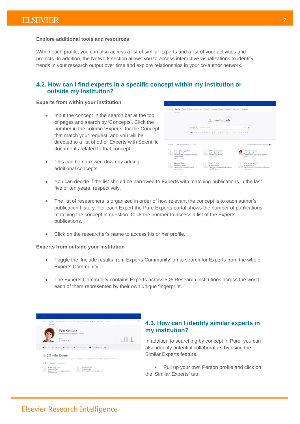#### **Explore additional tools and resources**

Within each profile, you can also access a list of similar experts and a list of your activities and projects. In addition, the Network section allows you to access interactive visualizations to identify trends in your research output over time and explore relationships in your co-author network.

# <span id="page-7-0"></span>**4.2. How can I find experts in a specific concept within my institution or outside my institution?**

## **Experts from within your institution**

- Input the concept in the search bar at the top of pages and search by 'Concepts'. Click the number in the column 'Experts' for the Concept that match your request, and you will be directed to a list of other Experts with Scientific documents related to that concept.
- This can be narrowed down by adding additional concepts

| Home. |                                                                                                                       | Experts Research-Units Equipment Projects Research-Output Datasets Activities Clippings        |                                                                                                        |  |
|-------|-----------------------------------------------------------------------------------------------------------------------|------------------------------------------------------------------------------------------------|--------------------------------------------------------------------------------------------------------|--|
|       |                                                                                                                       | Find Experts                                                                                   |                                                                                                        |  |
|       | Concepts = Enter search terms                                                                                         |                                                                                                | $Q$ $\theta$                                                                                           |  |
|       |                                                                                                                       | hdn A B C D E F G H I J K L M N O F Q R S T U V W X Y Z 4                                      |                                                                                                        |  |
|       |                                                                                                                       |                                                                                                |                                                                                                        |  |
|       | II results Last Name (associety) = h                                                                                  |                                                                                                | > Indude multi from Experts Community @                                                                |  |
|       | Ellen Darling, PhD<br>da damo@atra de<br>Department of Fure and Applied Chemistry -<br>Former employee<br>3PRO 1/2020 | Patrick Delaney<br>sh femallatra de<br>Department of Chemistry<br>mollims.<br>Constructions    | Peter Cormack<br>pe damadhatira de<br>Department of Pure and Applied Chamistry<br>and I fant           |  |
|       | Ganger West<br>me demottatin com<br>Department of Chemical Engineering<br>2005 L. Car 2014                            | Juan P. Diaz<br>as devertiseira di<br>Department of Fury and Applied Chemistry<br>and I I line | Christine Smith<br>of developments.<br>Department of Pharmacy & Biomedical Sciences<br>2014 a Mar 2017 |  |

- You can decide if the list should be narrowed to Experts with matching publications in the last five or ten years, respectively.
- The list of researchers is organized in order of how relevant the concept is to each author's publication history. For each Expert the Pure Experts portal shows the number of publications matching the concept in question. Click the number to access a list of the Experts publications.
- Click on the researcher's name to access his or her profile.

#### **Experts from outside your institution**

- Toggle the 'Include results from Experts Community' on to search for Experts from the whole Experts Community
- The Experts Community contains Experts across 50+ Research institutions across the world, each of them represented by their own unique fingerprint.

| <b>Peter Cormack</b><br>Department of Fure and Applied Chemistry                                                                       |  |
|----------------------------------------------------------------------------------------------------------------------------------------|--|
| Local -<br>and district that the chi-                                                                                                  |  |
| 3. Overview @ Forgerprint. @ Projects (3) 86 Powersh Output (4) 5. Sendan Exports (2) @ Nationals                                      |  |
|                                                                                                                                        |  |
|                                                                                                                                        |  |
| 2 2 Similar Experts<br>Similarity is based on overlapping concepts in the fingerprism of Peter Corman and the includiate listed below. |  |

# <span id="page-7-1"></span>**4.3. How can I identify similar experts in my institution?**

In addition to searching by concept in Pure, you can also identify potential collaborators by using the Similar Experts feature.

Pull up your own Person profile and click on the 'Similar Experts' tab.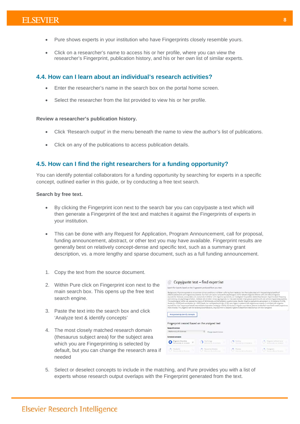- Pure shows experts in your institution who have Fingerprints closely resemble yours.
- Click on a researcher's name to access his or her profile, where you can view the researcher's Fingerprint, publication history, and his or her own list of similar experts.

# <span id="page-8-0"></span>**4.4. How can I learn about an individual's research activities?**

- Enter the researcher's name in the search box on the portal home screen.
- Select the researcher from the list provided to view his or her profile.

### **Review a researcher's publication history.**

- Click 'Research output' in the menu beneath the name to view the author's list of publications.
- Click on any of the publications to access publication details.

# <span id="page-8-1"></span>**4.5. How can I find the right researchers for a funding opportunity?**

You can identify potential collaborators for a funding opportunity by searching for experts in a specific concept, outlined earlier in this guide, or by conducting a free text search.

### **Search by free text.**

- By clicking the Fingerprint icon next to the search bar you can copy/paste a text which will then generate a Fingerprint of the text and matches it against the Fingerprints of experts in your institution.
- This can be done with any Request for Application, Program Announcement, call for proposal, funding announcement, abstract, or other text you may have available. Fingerprint results are generally best on relatively concept-dense and specific text, such as a summary grant description, vs. a more lengthy and sparse document, such as a full funding announcement.
- 1. Copy the text from the source document.
- 2. Within Pure click on Fingerprint icon next to the main search box. This opens up the free text search engine.
- 3. Paste the text into the search box and click 'Analyze text & identify concepts'
- 4. The most closely matched research domain (thesaurus subject area) for the subject area which you are Fingerprinting is selected by default, but you can change the research area if needed

|                                                                               | Search for Experts based on the Fingerprint produced from your text. |                                                                                                                                                                                                                                                                                                                                                                                                                                                                                                                                                                                                                                                                                                                                                                                                                                                                                                                                                                                                                                                                                                                                                                                                                                                                                                                                                                           |                                                      |
|-------------------------------------------------------------------------------|----------------------------------------------------------------------|---------------------------------------------------------------------------------------------------------------------------------------------------------------------------------------------------------------------------------------------------------------------------------------------------------------------------------------------------------------------------------------------------------------------------------------------------------------------------------------------------------------------------------------------------------------------------------------------------------------------------------------------------------------------------------------------------------------------------------------------------------------------------------------------------------------------------------------------------------------------------------------------------------------------------------------------------------------------------------------------------------------------------------------------------------------------------------------------------------------------------------------------------------------------------------------------------------------------------------------------------------------------------------------------------------------------------------------------------------------------------|------------------------------------------------------|
|                                                                               |                                                                      | Background: Migraine equivalents are common dinical conditions in children suffering from headache. Very few studies dealt with the psychological profile of<br>children/adolescents with migraine equivalents. Our main alm was to compare the psychological profile between migraine children with and without migraine<br>equivalents. Moreover, as secondary aim, exclusively in children with migraine equivalents, we investigated the possible relationship between migraine attack frequency.<br>and intensity and psychological factors. Methods: We enrolled 136 young migraineurs. They were divided in two groups (patients with and without migraine equivalents).<br>The psychological profile was assessed by means of SAFA Anxiety and Somatization questionnaires. Results: Migraine equivalents were present in 101 patients (74.3 %).<br>Anxiety (p = 0.024) and somatization (p = 0.031) levels, but not hypochondria (p = 0.26), were higher in patients with migraine equivalents. In children with migraine<br>equivalents, a low frequency of attacks was related to separation arciety (p = 0.034). Conclusions: Migraine equivalents patients tend to feel more fearful and to experience<br>more shyness. This, together with the tendency to somatization, may lead them to become vigilant in attachment relationships with their caregivers |                                                      |
| Analyze text & identify concepts                                              |                                                                      |                                                                                                                                                                                                                                                                                                                                                                                                                                                                                                                                                                                                                                                                                                                                                                                                                                                                                                                                                                                                                                                                                                                                                                                                                                                                                                                                                                           |                                                      |
| Fingerprint created based on the analyzed text                                |                                                                      |                                                                                                                                                                                                                                                                                                                                                                                                                                                                                                                                                                                                                                                                                                                                                                                                                                                                                                                                                                                                                                                                                                                                                                                                                                                                                                                                                                           |                                                      |
| Research domain                                                               |                                                                      |                                                                                                                                                                                                                                                                                                                                                                                                                                                                                                                                                                                                                                                                                                                                                                                                                                                                                                                                                                                                                                                                                                                                                                                                                                                                                                                                                                           |                                                      |
|                                                                               |                                                                      |                                                                                                                                                                                                                                                                                                                                                                                                                                                                                                                                                                                                                                                                                                                                                                                                                                                                                                                                                                                                                                                                                                                                                                                                                                                                                                                                                                           |                                                      |
| Medicine & Life Sciences                                                      | Change research domain                                               |                                                                                                                                                                                                                                                                                                                                                                                                                                                                                                                                                                                                                                                                                                                                                                                                                                                                                                                                                                                                                                                                                                                                                                                                                                                                                                                                                                           |                                                      |
|                                                                               |                                                                      |                                                                                                                                                                                                                                                                                                                                                                                                                                                                                                                                                                                                                                                                                                                                                                                                                                                                                                                                                                                                                                                                                                                                                                                                                                                                                                                                                                           |                                                      |
| <b>Extracted concepts</b><br>Migraine Disorders<br>MEDICINE & LIFE SCIENCES 3 | Prechoidgy<br>Mitsman & Life SOUNDA                                  | Arabey.<br>MESON & LIFE SOENCEL                                                                                                                                                                                                                                                                                                                                                                                                                                                                                                                                                                                                                                                                                                                                                                                                                                                                                                                                                                                                                                                                                                                                                                                                                                                                                                                                           | Migraine without Aire<br>Michigan R. Link Severantis |

5. Select or deselect concepts to include in the matching, and Pure provides you with a list of experts whose research output overlaps with the Fingerprint generated from the text.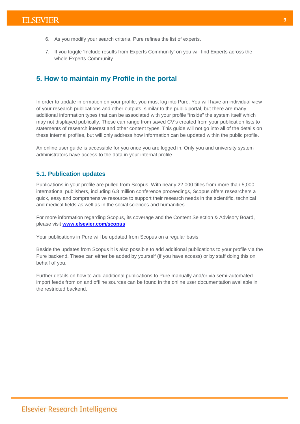- 6. As you modify your search criteria, Pure refines the list of experts.
- 7. If you toggle 'Include results from Experts Community' on you will find Experts across the whole Experts Community

# <span id="page-9-0"></span>**5. How to maintain my Profile in the portal**

In order to update information on your profile, you must log into Pure. You will have an individual view of your research publications and other outputs, similar to the public portal, but there are many additional information types that can be associated with your profile "inside" the system itself which may not displayed publically. These can range from saved CV's created from your publication lists to statements of research interest and other content types. This guide will not go into all of the details on these internal profiles, but will only address how information can be updated within the public profile.

An online user guide is accessible for you once you are logged in. Only you and university system administrators have access to the data in your internal profile.

## <span id="page-9-1"></span>**5.1. Publication updates**

Publications in your profile are pulled from Scopus. With nearly 22,000 titles from more than 5,000 international publishers, including 6.8 million conference proceedings, Scopus offers researchers a quick, easy and comprehensive resource to support their research needs in the scientific, technical and medical fields as well as in the social sciences and humanities.

For more information regarding Scopus, its coverage and the Content Selection & Advisory Board, please visit **[www.elsevier.com/scopus](http://www.elsevier.com/scopus)**

Your publications in Pure will be updated from Scopus on a regular basis.

Beside the updates from Scopus it is also possible to add additional publications to your profile via the Pure backend. These can either be added by yourself (if you have access) or by staff doing this on behalf of you.

Further details on how to add additional publications to Pure manually and/or via semi-automated import feeds from on and offline sources can be found in the online user documentation available in the restricted backend.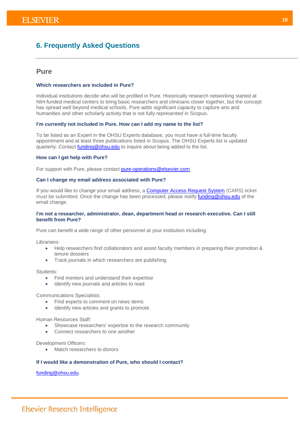# <span id="page-10-0"></span>**6. Frequently Asked Questions**

# **Pure**

### **Which researchers are included in Pure?**

Individual institutions decide who will be profiled in Pure. Historically research networking started at NIH-funded medical centers to bring basic researchers and clinicians closer together, but the concept has spread well beyond medical schools. Pure adds significant capacity to capture arts and humanities and other scholarly activity that is not fully represented in Scopus.

#### **I'm currently not included in Pure. How can I add my name to the list?**

To be listed as an Expert in the OHSU Experts database, you must have a full-time faculty appointment and at least three publications listed in Scopus. The OHSU Experts list is updated quarterly. Contact [funding@ohsu.edu](mailto:funding@ohsu.edu) to inquire about being added to the list.

#### **How can I get help with Pure?**

For support with Pure, please contact [pure-operations@elsevier.com](mailto:pure-operations@elsevier.com)

#### **Can I change my email address associated with Pure?**

If you would like to change your email address, a [Computer Access Request System](https://cars.ohsu.edu/) (CARS) ticket must be submitted. Once the change has been processed, please notify [funding@ohsu.edu](mailto:funding@ohsu.edu) of the email change.

#### **I'm not a researcher, administrator, dean, department head or research executive. Can I still benefit from Pure?**

Pure can benefit a wide range of other personnel at your institution including:

Librarians:

- Help researchers find collaborators and assist faculty members in preparing their promotion & tenure dossiers
- Track journals in which researchers are publishing

Students:

- Find mentors and understand their expertise
- Identify new journals and articles to read

Communications Specialists:

- Find experts to comment on news items
- Identify new articles and grants to promote

Human Resources Staff:

- Showcase researchers' expertise to the research community
- Connect researchers to one another

Development Officers:

Match researchers to donors

#### **If I would like a demonstration of Pure, who should I contact?**

[funding@ohsu.edu.](mailto:funding@ohsu.edu)